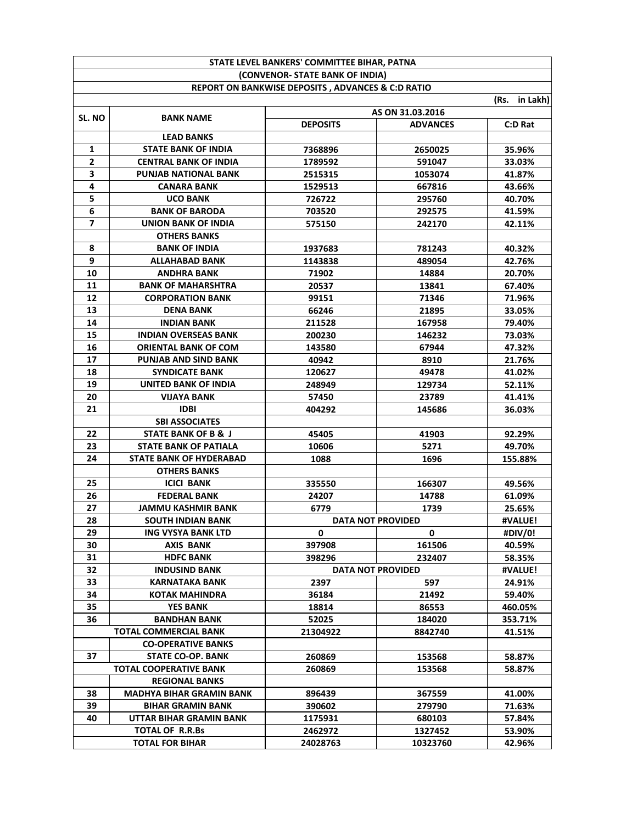|              |                                 | (CONVENOR- STATE BANK OF INDIA)                              |                          |               |
|--------------|---------------------------------|--------------------------------------------------------------|--------------------------|---------------|
|              |                                 | <b>REPORT ON BANKWISE DEPOSITS, ADVANCES &amp; C:D RATIO</b> |                          |               |
|              |                                 |                                                              |                          | (Rs. in Lakh) |
|              |                                 | AS ON 31.03.2016                                             |                          |               |
| SL. NO       | <b>BANK NAME</b>                | <b>DEPOSITS</b>                                              | <b>ADVANCES</b>          | C:D Rat       |
|              | <b>LEAD BANKS</b>               |                                                              |                          |               |
| $\mathbf{1}$ | <b>STATE BANK OF INDIA</b>      | 7368896                                                      | 2650025                  | 35.96%        |
| $\mathbf{2}$ | <b>CENTRAL BANK OF INDIA</b>    | 1789592                                                      | 591047                   | 33.03%        |
| 3            | <b>PUNJAB NATIONAL BANK</b>     | 2515315                                                      | 1053074                  | 41.87%        |
| 4            | <b>CANARA BANK</b>              | 1529513                                                      | 667816                   | 43.66%        |
| 5            | <b>UCO BANK</b>                 | 726722                                                       | 295760                   | 40.70%        |
| 6            | <b>BANK OF BARODA</b>           | 703520                                                       | 292575                   | 41.59%        |
| 7            | UNION BANK OF INDIA             | 575150                                                       | 242170                   | 42.11%        |
|              | <b>OTHERS BANKS</b>             |                                                              |                          |               |
| 8            | <b>BANK OF INDIA</b>            | 1937683                                                      | 781243                   | 40.32%        |
| 9            | <b>ALLAHABAD BANK</b>           | 1143838                                                      | 489054                   | 42.76%        |
| 10           | <b>ANDHRA BANK</b>              | 71902                                                        | 14884                    | 20.70%        |
| 11           | <b>BANK OF MAHARSHTRA</b>       | 20537                                                        | 13841                    | 67.40%        |
| 12           | <b>CORPORATION BANK</b>         | 99151                                                        | 71346                    | 71.96%        |
| 13           | <b>DENA BANK</b>                | 66246                                                        | 21895                    | 33.05%        |
| 14           | <b>INDIAN BANK</b>              | 211528                                                       | 167958                   | 79.40%        |
| 15           | <b>INDIAN OVERSEAS BANK</b>     | 200230                                                       | 146232                   | 73.03%        |
| 16           | <b>ORIENTAL BANK OF COM</b>     | 143580                                                       | 67944                    | 47.32%        |
| 17           | <b>PUNJAB AND SIND BANK</b>     | 40942                                                        | 8910                     | 21.76%        |
| 18           | <b>SYNDICATE BANK</b>           | 120627                                                       | 49478                    | 41.02%        |
| 19           | UNITED BANK OF INDIA            | 248949                                                       | 129734                   | 52.11%        |
| 20           | <b>VIJAYA BANK</b>              | 57450                                                        | 23789                    | 41.41%        |
| 21           | <b>IDBI</b>                     | 404292                                                       | 145686                   | 36.03%        |
|              | <b>SBI ASSOCIATES</b>           |                                                              |                          |               |
| 22           | <b>STATE BANK OF B &amp; J</b>  | 45405                                                        | 41903                    | 92.29%        |
| 23           | <b>STATE BANK OF PATIALA</b>    | 10606                                                        | 5271                     | 49.70%        |
| 24           | <b>STATE BANK OF HYDERABAD</b>  | 1088                                                         | 1696                     | 155.88%       |
|              | <b>OTHERS BANKS</b>             |                                                              |                          |               |
| 25           | <b>ICICI BANK</b>               | 335550                                                       | 166307                   | 49.56%        |
| 26           | <b>FEDERAL BANK</b>             | 24207                                                        | 14788                    | 61.09%        |
| 27           | <b>JAMMU KASHMIR BANK</b>       | 6779                                                         | 1739                     | 25.65%        |
| 28           | <b>SOUTH INDIAN BANK</b>        | #VALUE!<br><b>DATA NOT PROVIDED</b>                          |                          |               |
| 29           | <b>ING VYSYA BANK LTD</b>       | 0                                                            | 0                        | #DIV/0!       |
| 30           | AXIS BANK                       | 397908                                                       | 161506                   | 40.59%        |
| 31           | <b>HDFC BANK</b>                | 398296                                                       | 232407                   | 58.35%        |
| 32           | <b>INDUSIND BANK</b>            |                                                              | <b>DATA NOT PROVIDED</b> | #VALUE!       |
| 33           | KARNATAKA BANK                  | 2397                                                         | 597                      | 24.91%        |
| 34           | KOTAK MAHINDRA                  | 36184                                                        | 21492                    | 59.40%        |
| 35           | <b>YES BANK</b>                 | 18814                                                        | 86553                    | 460.05%       |
| 36           | BANDHAN BANK                    | 52025                                                        | 184020                   | 353.71%       |
|              | TOTAL COMMERCIAL BANK           | 21304922                                                     | 8842740                  | 41.51%        |
|              | <b>CO-OPERATIVE BANKS</b>       |                                                              |                          |               |
| 37           | STATE CO-OP. BANK               | 260869                                                       | 153568                   | 58.87%        |
|              | TOTAL COOPERATIVE BANK          | 260869                                                       | 153568                   | 58.87%        |
|              | <b>REGIONAL BANKS</b>           |                                                              |                          |               |
| 38           | <b>MADHYA BIHAR GRAMIN BANK</b> | 896439                                                       | 367559                   | 41.00%        |
| 39           | <b>BIHAR GRAMIN BANK</b>        | 390602                                                       | 279790                   | 71.63%        |
| 40           | UTTAR BIHAR GRAMIN BANK         | 1175931                                                      | 680103                   | 57.84%        |
|              | TOTAL OF R.R.Bs                 | 2462972                                                      | 1327452                  | 53.90%        |
|              | <b>TOTAL FOR BIHAR</b>          | 24028763                                                     | 10323760                 | 42.96%        |